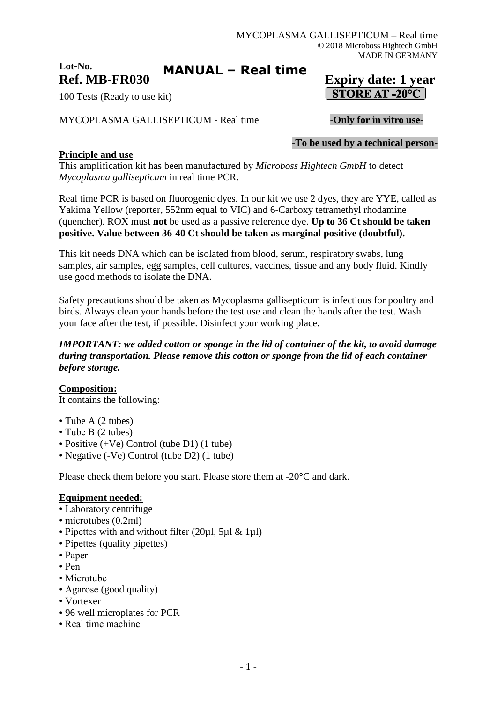#### **Lot-No. Ref. MB-FR030 Expiry date: 1 year MANUAL – Real time**

100 Tests (Ready to use kit)

# MYCOPLASMA GALLISEPTICUM - Real time -**Only for in vitro use-**

-**To be used by a technical person-**

# **Principle and use**

This amplification kit has been manufactured by *Microboss Hightech GmbH* to detect *Mycoplasma gallisepticum* in real time PCR.

Real time PCR is based on fluorogenic dyes. In our kit we use 2 dyes, they are YYE, called as Yakima Yellow (reporter, 552nm equal to VIC) and 6-Carboxy tetramethyl rhodamine (quencher). ROX must **not** be used as a passive reference dye. **Up to 36 Ct should be taken positive. Value between 36-40 Ct should be taken as marginal positive (doubtful).**

This kit needs DNA which can be isolated from blood, serum, respiratory swabs, lung samples, air samples, egg samples, cell cultures, vaccines, tissue and any body fluid. Kindly use good methods to isolate the DNA.

Safety precautions should be taken as Mycoplasma gallisepticum is infectious for poultry and birds. Always clean your hands before the test use and clean the hands after the test. Wash your face after the test, if possible. Disinfect your working place.

### *IMPORTANT: we added cotton or sponge in the lid of container of the kit, to avoid damage during transportation. Please remove this cotton or sponge from the lid of each container before storage.*

**Composition:** It contains the following:

- Tube A (2 tubes)
- Tube B (2 tubes)
- Positive (+Ve) Control (tube D1) (1 tube)
- Negative (-Ve) Control (tube D2) (1 tube)

Please check them before you start. Please store them at -20°C and dark.

### **Equipment needed:**

- Laboratory centrifuge
- microtubes (0.2ml)
- Pipettes with and without filter (20µl, 5µl & 1µl)
- Pipettes (quality pipettes)
- Paper
- Pen
- Microtube
- Agarose (good quality)
- Vortexer
- 96 well microplates for PCR
- Real time machine

STORE AT -20 $^{\circ}$ C |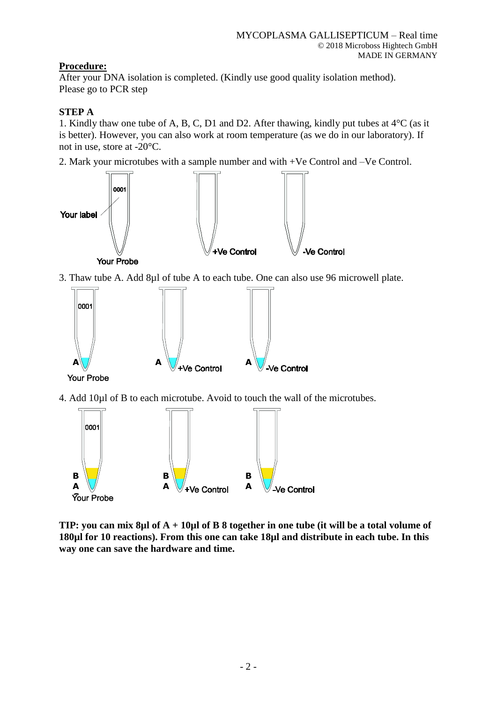# **Procedure:**

After your DNA isolation is completed. (Kindly use good quality isolation method). Please go to PCR step

# **STEP A**

1. Kindly thaw one tube of A, B, C, D1 and D2. After thawing, kindly put tubes at 4°C (as it is better). However, you can also work at room temperature (as we do in our laboratory). If not in use, store at -20°C.

2. Mark your microtubes with a sample number and with +Ve Control and –Ve Control.



3. Thaw tube A. Add 8µl of tube A to each tube. One can also use 96 microwell plate.



4. Add 10µl of B to each microtube. Avoid to touch the wall of the microtubes.



**TIP: you can mix 8µl of A + 10µl of B 8 together in one tube (it will be a total volume of 180µl for 10 reactions). From this one can take 18µl and distribute in each tube. In this way one can save the hardware and time.**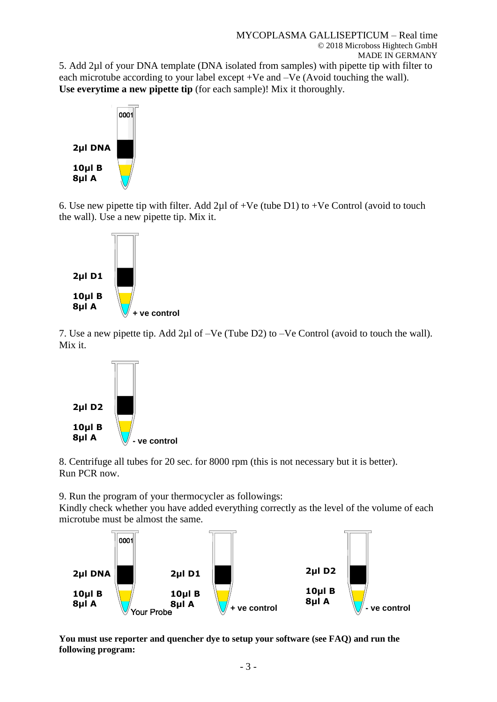5. Add 2µl of your DNA template (DNA isolated from samples) with pipette tip with filter to each microtube according to your label except +Ve and –Ve (Avoid touching the wall). **Use everytime a new pipette tip** (for each sample)! Mix it thoroughly.



6. Use new pipette tip with filter. Add  $2\mu$ l of +Ve (tube D1) to +Ve Control (avoid to touch the wall). Use a new pipette tip. Mix it.



7. Use a new pipette tip. Add 2µl of –Ve (Tube D2) to –Ve Control (avoid to touch the wall). Mix it.



8. Centrifuge all tubes for 20 sec. for 8000 rpm (this is not necessary but it is better). Run PCR now.

9. Run the program of your thermocycler as followings:

Kindly check whether you have added everything correctly as the level of the volume of each microtube must be almost the same.



**You must use reporter and quencher dye to setup your software (see FAQ) and run the following program:**